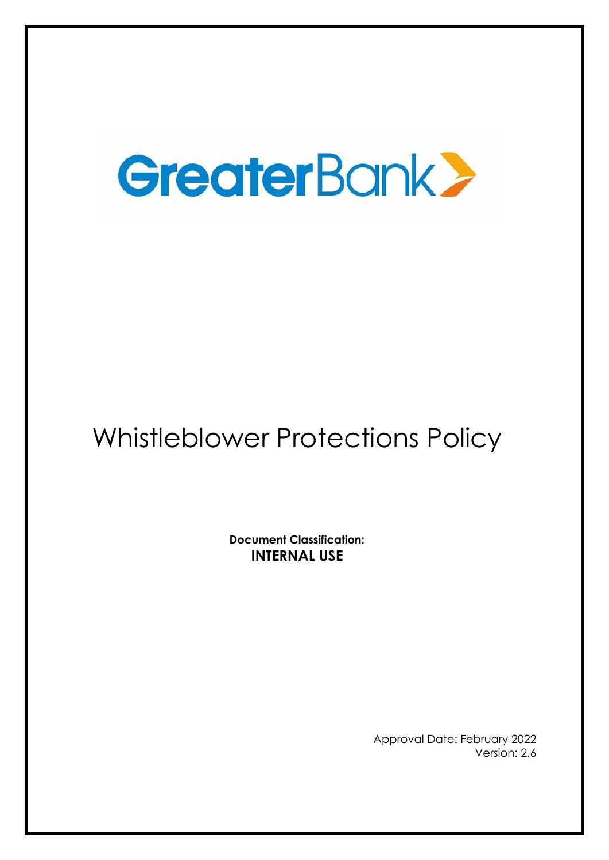# GreaterBank

# Whistleblower Protections Policy

**Document Classification: INTERNAL USE**

> Approval Date: February 2022 Version: 2.6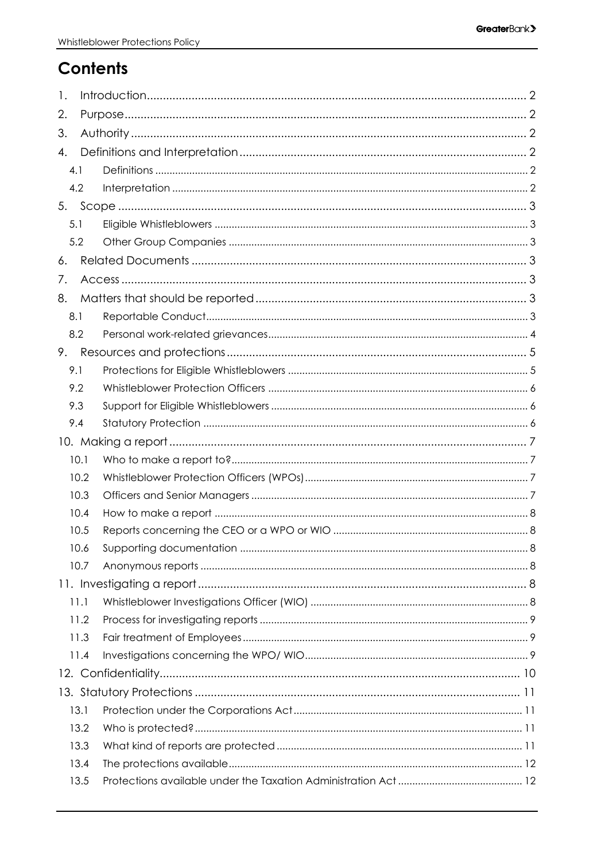# Contents

| 1.  |      |  |  |  |  |  |  |
|-----|------|--|--|--|--|--|--|
| 2.  |      |  |  |  |  |  |  |
| 3.  |      |  |  |  |  |  |  |
| 4.  |      |  |  |  |  |  |  |
| 4.1 |      |  |  |  |  |  |  |
| 4.2 |      |  |  |  |  |  |  |
|     |      |  |  |  |  |  |  |
| 5.1 |      |  |  |  |  |  |  |
| 5.2 |      |  |  |  |  |  |  |
| 6.  |      |  |  |  |  |  |  |
| 7.  |      |  |  |  |  |  |  |
| 8.  |      |  |  |  |  |  |  |
| 8.1 |      |  |  |  |  |  |  |
| 8.2 |      |  |  |  |  |  |  |
| 9.  |      |  |  |  |  |  |  |
| 9.1 |      |  |  |  |  |  |  |
| 9.2 |      |  |  |  |  |  |  |
| 9.3 |      |  |  |  |  |  |  |
| 9.4 |      |  |  |  |  |  |  |
|     |      |  |  |  |  |  |  |
|     | 10.1 |  |  |  |  |  |  |
|     | 10.2 |  |  |  |  |  |  |
|     | 10.3 |  |  |  |  |  |  |
|     | 10.4 |  |  |  |  |  |  |
|     | 10.5 |  |  |  |  |  |  |
|     | 10.6 |  |  |  |  |  |  |
|     | 10.7 |  |  |  |  |  |  |
|     |      |  |  |  |  |  |  |
|     | 11.1 |  |  |  |  |  |  |
|     | 11.2 |  |  |  |  |  |  |
|     | 11.3 |  |  |  |  |  |  |
|     | 11.4 |  |  |  |  |  |  |
|     |      |  |  |  |  |  |  |
|     |      |  |  |  |  |  |  |
|     | 13.1 |  |  |  |  |  |  |
|     | 13.2 |  |  |  |  |  |  |
|     | 13.3 |  |  |  |  |  |  |
|     | 13.4 |  |  |  |  |  |  |
|     | 13.5 |  |  |  |  |  |  |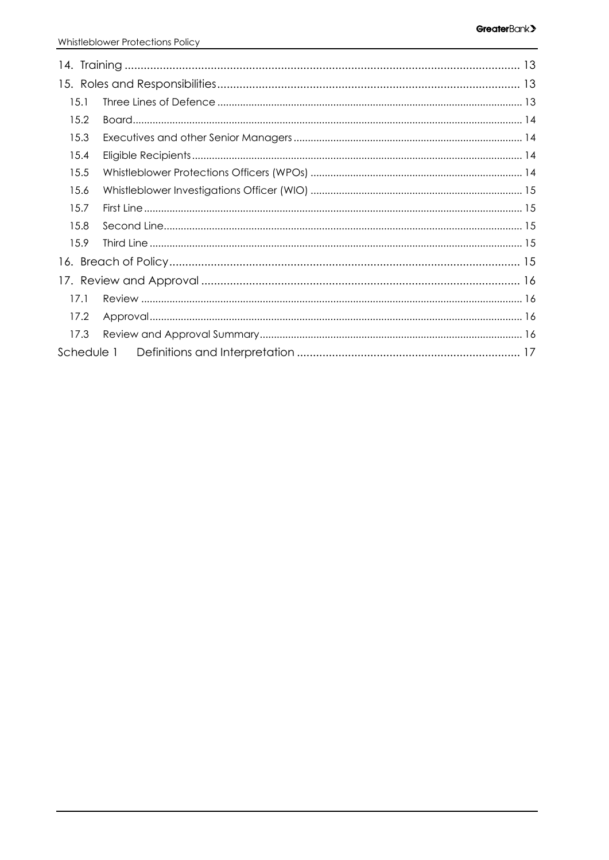| 15.1       |  |  |  |  |  |  |  |
|------------|--|--|--|--|--|--|--|
| 15.2       |  |  |  |  |  |  |  |
| 15.3       |  |  |  |  |  |  |  |
| 15.4       |  |  |  |  |  |  |  |
| 15.5       |  |  |  |  |  |  |  |
| 15.6       |  |  |  |  |  |  |  |
| 15.7       |  |  |  |  |  |  |  |
| 15.8       |  |  |  |  |  |  |  |
| 15.9       |  |  |  |  |  |  |  |
|            |  |  |  |  |  |  |  |
|            |  |  |  |  |  |  |  |
| 17.1       |  |  |  |  |  |  |  |
| 17.2       |  |  |  |  |  |  |  |
| 17.3       |  |  |  |  |  |  |  |
| Schedule 1 |  |  |  |  |  |  |  |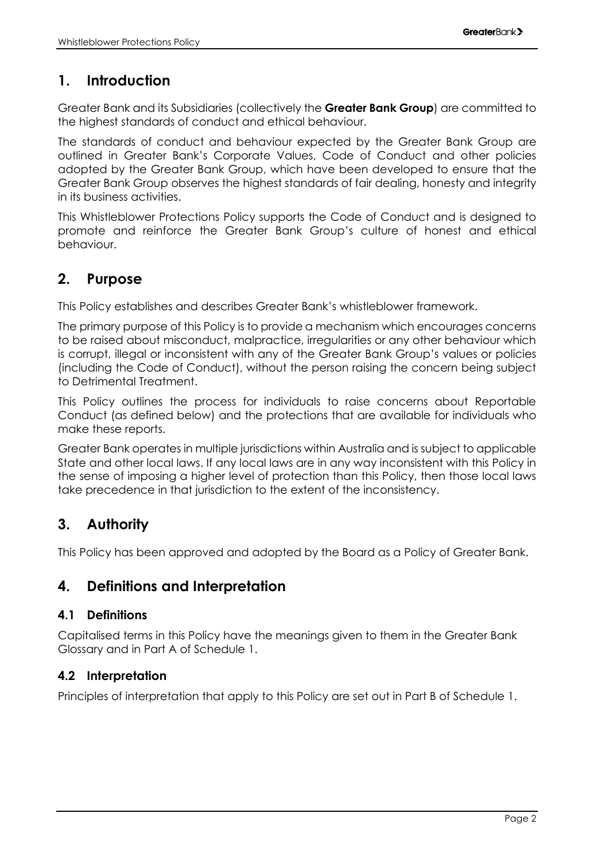# <span id="page-3-0"></span>**1. Introduction**

Greater Bank and its Subsidiaries (collectively the **Greater Bank Group**) are committed to the highest standards of conduct and ethical behaviour.

The standards of conduct and behaviour expected by the Greater Bank Group are outlined in Greater Bank's Corporate Values, Code of Conduct and other policies adopted by the Greater Bank Group, which have been developed to ensure that the Greater Bank Group observes the highest standards of fair dealing, honesty and integrity in its business activities.

This Whistleblower Protections Policy supports the Code of Conduct and is designed to promote and reinforce the Greater Bank Group's culture of honest and ethical behaviour.

# <span id="page-3-1"></span>**2. Purpose**

This Policy establishes and describes Greater Bank's whistleblower framework.

The primary purpose of this Policy is to provide a mechanism which encourages concerns to be raised about misconduct, malpractice, irregularities or any other behaviour which is corrupt, illegal or inconsistent with any of the Greater Bank Group's values or policies (including the Code of Conduct), without the person raising the concern being subject to Detrimental Treatment.

This Policy outlines the process for individuals to raise concerns about Reportable Conduct (as defined below) and the protections that are available for individuals who make these reports.

Greater Bank operates in multiple jurisdictions within Australia and is subject to applicable State and other local laws. If any local laws are in any way inconsistent with this Policy in the sense of imposing a higher level of protection than this Policy, then those local laws take precedence in that jurisdiction to the extent of the inconsistency.

# <span id="page-3-2"></span>**3. Authority**

This Policy has been approved and adopted by the Board as a Policy of Greater Bank.

# <span id="page-3-3"></span>**4. Definitions and Interpretation**

#### <span id="page-3-4"></span>**4.1 Definitions**

Capitalised terms in this Policy have the meanings given to them in the Greater Bank Glossary and in Part A of Schedule 1.

#### <span id="page-3-5"></span>**4.2 Interpretation**

Principles of interpretation that apply to this Policy are set out in Part B of Schedule 1.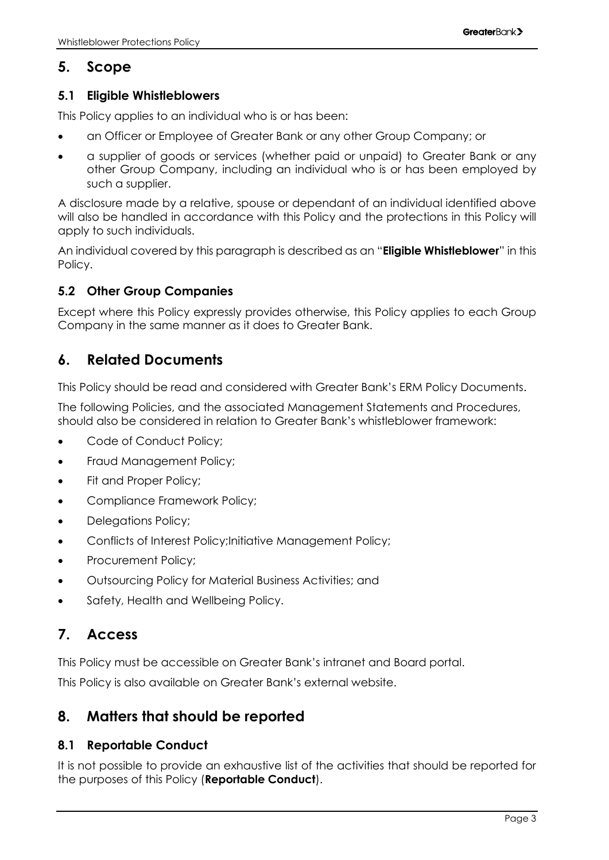# <span id="page-4-0"></span>**5. Scope**

#### <span id="page-4-1"></span>**5.1 Eligible Whistleblowers**

This Policy applies to an individual who is or has been:

- an Officer or Employee of Greater Bank or any other Group Company; or
- a supplier of goods or services (whether paid or unpaid) to Greater Bank or any other Group Company, including an individual who is or has been employed by such a supplier.

A disclosure made by a relative, spouse or dependant of an individual identified above will also be handled in accordance with this Policy and the protections in this Policy will apply to such individuals.

An individual covered by this paragraph is described as an "**Eligible Whistleblower**" in this Policy.

#### <span id="page-4-2"></span>**5.2 Other Group Companies**

Except where this Policy expressly provides otherwise, this Policy applies to each Group Company in the same manner as it does to Greater Bank.

# <span id="page-4-3"></span>**6. Related Documents**

This Policy should be read and considered with Greater Bank's ERM Policy Documents.

The following Policies, and the associated Management Statements and Procedures, should also be considered in relation to Greater Bank's whistleblower framework:

- Code of Conduct Policy;
- Fraud Management Policy;
- Fit and Proper Policy:
- Compliance Framework Policy;
- Delegations Policy:
- Conflicts of Interest Policy; Initiative Management Policy;
- Procurement Policy;
- Outsourcing Policy for Material Business Activities; and
- Safety, Health and Wellbeing Policy.

# <span id="page-4-4"></span>**7. Access**

This Policy must be accessible on Greater Bank's intranet and Board portal.

This Policy is also available on Greater Bank's external website.

# <span id="page-4-5"></span>**8. Matters that should be reported**

#### <span id="page-4-6"></span>**8.1 Reportable Conduct**

It is not possible to provide an exhaustive list of the activities that should be reported for the purposes of this Policy (**Reportable Conduct**).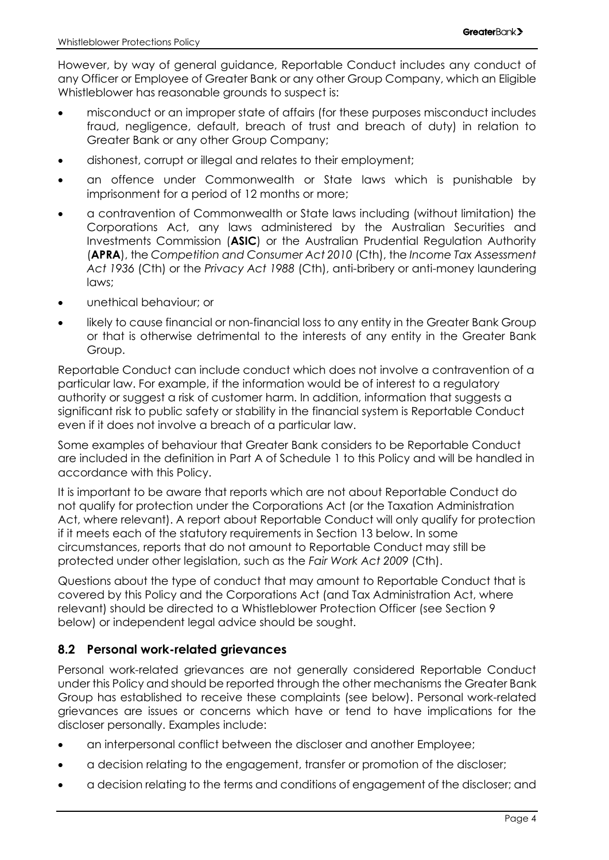However, by way of general guidance, Reportable Conduct includes any conduct of any Officer or Employee of Greater Bank or any other Group Company, which an Eligible Whistleblower has reasonable grounds to suspect is:

- misconduct or an improper state of affairs (for these purposes misconduct includes fraud, negligence, default, breach of trust and breach of duty) in relation to Greater Bank or any other Group Company;
- dishonest, corrupt or illegal and relates to their employment;
- an offence under Commonwealth or State laws which is punishable by imprisonment for a period of 12 months or more;
- a contravention of Commonwealth or State laws including (without limitation) the Corporations Act, any laws administered by the Australian Securities and Investments Commission (**ASIC**) or the Australian Prudential Regulation Authority (**APRA**), the *Competition and Consumer Act 2010* (Cth), the *Income Tax Assessment Act 1936* (Cth) or the *Privacy Act 1988* (Cth), anti-bribery or anti-money laundering laws;
- unethical behaviour; or
- likely to cause financial or non-financial loss to any entity in the Greater Bank Group or that is otherwise detrimental to the interests of any entity in the Greater Bank Group.

Reportable Conduct can include conduct which does not involve a contravention of a particular law. For example, if the information would be of interest to a regulatory authority or suggest a risk of customer harm. In addition, information that suggests a significant risk to public safety or stability in the financial system is Reportable Conduct even if it does not involve a breach of a particular law.

Some examples of behaviour that Greater Bank considers to be Reportable Conduct are included in the definition in Part A of Schedule 1 to this Policy and will be handled in accordance with this Policy.

It is important to be aware that reports which are not about Reportable Conduct do not qualify for protection under the Corporations Act (or the Taxation Administration Act, where relevant). A report about Reportable Conduct will only qualify for protection if it meets each of the statutory requirements in Section 13 below. In some circumstances, reports that do not amount to Reportable Conduct may still be protected under other legislation, such as the *Fair Work Act 2009* (Cth).

Questions about the type of conduct that may amount to Reportable Conduct that is covered by this Policy and the Corporations Act (and Tax Administration Act, where relevant) should be directed to a Whistleblower Protection Officer (see Section 9 below) or independent legal advice should be sought.

#### <span id="page-5-0"></span>**8.2 Personal work-related grievances**

Personal work-related grievances are not generally considered Reportable Conduct under this Policy and should be reported through the other mechanisms the Greater Bank Group has established to receive these complaints (see below). Personal work-related grievances are issues or concerns which have or tend to have implications for the discloser personally. Examples include:

- an interpersonal conflict between the discloser and another Employee;
- a decision relating to the engagement, transfer or promotion of the discloser;
- a decision relating to the terms and conditions of engagement of the discloser; and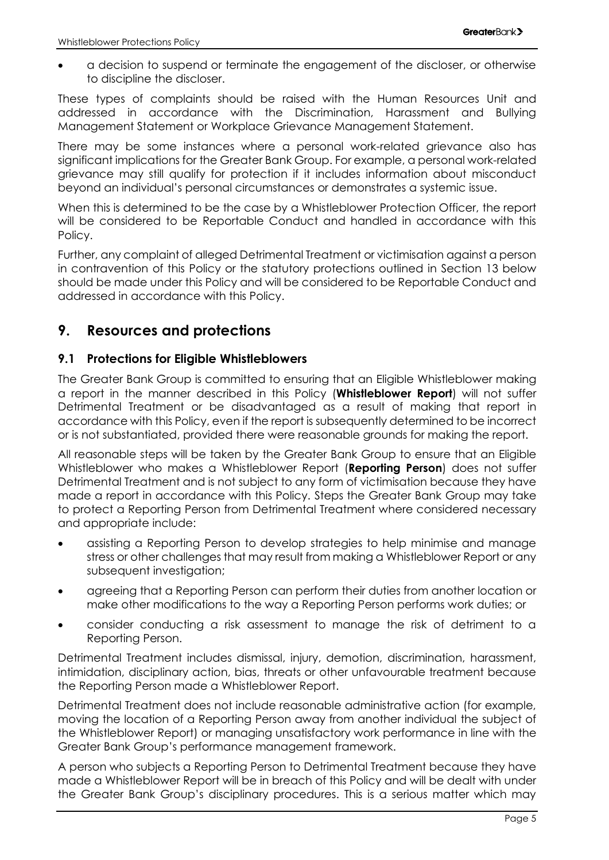• a decision to suspend or terminate the engagement of the discloser, or otherwise to discipline the discloser.

These types of complaints should be raised with the Human Resources Unit and addressed in accordance with the Discrimination, Harassment and Bullying Management Statement or Workplace Grievance Management Statement.

There may be some instances where a personal work-related grievance also has significant implications for the Greater Bank Group. For example, a personal work-related grievance may still qualify for protection if it includes information about misconduct beyond an individual's personal circumstances or demonstrates a systemic issue.

When this is determined to be the case by a Whistleblower Protection Officer, the report will be considered to be Reportable Conduct and handled in accordance with this Policy.

Further, any complaint of alleged Detrimental Treatment or victimisation against a person in contravention of this Policy or the statutory protections outlined in Section [13](#page-12-0) below should be made under this Policy and will be considered to be Reportable Conduct and addressed in accordance with this Policy.

# <span id="page-6-0"></span>**9. Resources and protections**

#### <span id="page-6-1"></span>**9.1 Protections for Eligible Whistleblowers**

The Greater Bank Group is committed to ensuring that an Eligible Whistleblower making a report in the manner described in this Policy (**Whistleblower Report**) will not suffer Detrimental Treatment or be disadvantaged as a result of making that report in accordance with this Policy, even if the report is subsequently determined to be incorrect or is not substantiated, provided there were reasonable grounds for making the report.

All reasonable steps will be taken by the Greater Bank Group to ensure that an Eligible Whistleblower who makes a Whistleblower Report (**Reporting Person**) does not suffer Detrimental Treatment and is not subject to any form of victimisation because they have made a report in accordance with this Policy. Steps the Greater Bank Group may take to protect a Reporting Person from Detrimental Treatment where considered necessary and appropriate include:

- assisting a Reporting Person to develop strategies to help minimise and manage stress or other challenges that may result from making a Whistleblower Report or any subsequent investigation;
- agreeing that a Reporting Person can perform their duties from another location or make other modifications to the way a Reporting Person performs work duties; or
- consider conducting a risk assessment to manage the risk of detriment to a Reporting Person.

Detrimental Treatment includes dismissal, injury, demotion, discrimination, harassment, intimidation, disciplinary action, bias, threats or other unfavourable treatment because the Reporting Person made a Whistleblower Report.

Detrimental Treatment does not include reasonable administrative action (for example, moving the location of a Reporting Person away from another individual the subject of the Whistleblower Report) or managing unsatisfactory work performance in line with the Greater Bank Group's performance management framework.

A person who subjects a Reporting Person to Detrimental Treatment because they have made a Whistleblower Report will be in breach of this Policy and will be dealt with under the Greater Bank Group's disciplinary procedures. This is a serious matter which may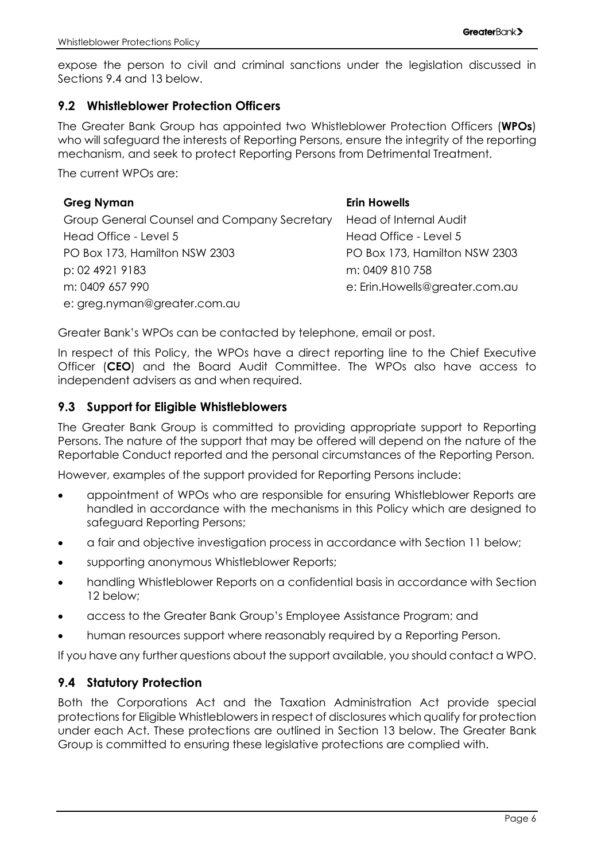expose the person to civil and criminal sanctions under the legislation discussed in Sections [9.4](#page-7-2) and [13](#page-12-0) below.

#### <span id="page-7-0"></span>**9.2 Whistleblower Protection Officers**

The Greater Bank Group has appointed two Whistleblower Protection Officers (**WPOs**) who will safeguard the interests of Reporting Persons, ensure the integrity of the reporting mechanism, and seek to protect Reporting Persons from Detrimental Treatment.

The current WPOs are:

#### **Greg Nyman** Group General Counsel and Company Secretary Head Office - Level 5 PO Box 173, Hamilton NSW 2303 p: 02 4921 9183 m: 0409 657 990 e: greg.nyman@greater.com.au **Erin Howells** Head of Internal Audit Head Office - Level 5 PO Box 173, Hamilton NSW 2303 m: 0409 810 758 e: Erin.Howells@greater.com.au

Greater Bank's WPOs can be contacted by telephone, email or post.

In respect of this Policy, the WPOs have a direct reporting line to the Chief Executive Officer (**CEO**) and the Board Audit Committee. The WPOs also have access to independent advisers as and when required.

#### <span id="page-7-1"></span>**9.3 Support for Eligible Whistleblowers**

The Greater Bank Group is committed to providing appropriate support to Reporting Persons. The nature of the support that may be offered will depend on the nature of the Reportable Conduct reported and the personal circumstances of the Reporting Person.

However, examples of the support provided for Reporting Persons include:

- appointment of WPOs who are responsible for ensuring Whistleblower Reports are handled in accordance with the mechanisms in this Policy which are designed to safeguard Reporting Persons;
- a fair and objective investigation process in accordance with Section [11](#page-9-4) below;
- supporting anonymous Whistleblower Reports;
- handling Whistleblower Reports on a confidential basis in accordance with Section [12](#page-11-0) below;
- access to the Greater Bank Group's Employee Assistance Program; and
- human resources support where reasonably required by a Reporting Person.

If you have any further questions about the support available, you should contact a WPO.

#### <span id="page-7-2"></span>**9.4 Statutory Protection**

Both the Corporations Act and the Taxation Administration Act provide special protections for Eligible Whistleblowers in respect of disclosures which qualify for protection under each Act. These protections are outlined in Section [13](#page-12-0) below. The Greater Bank Group is committed to ensuring these legislative protections are complied with.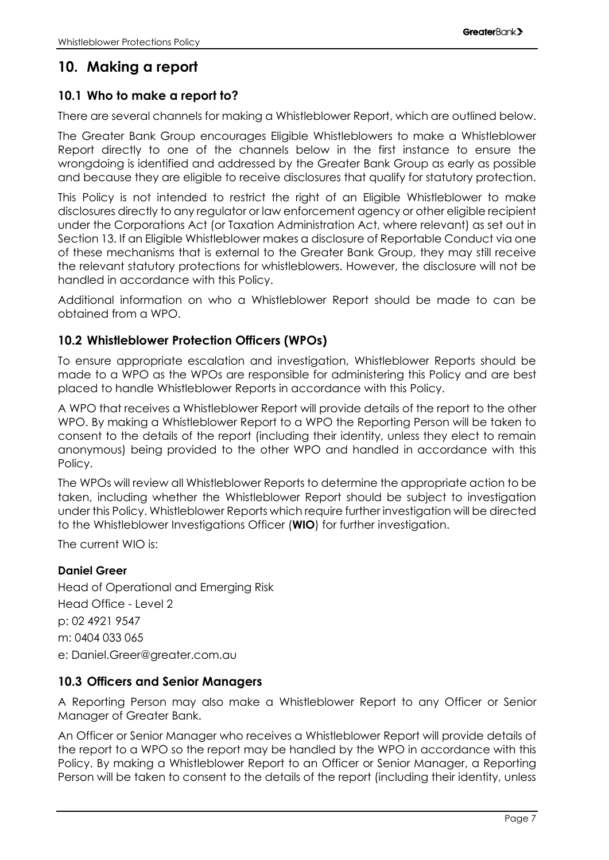# <span id="page-8-0"></span>**10. Making a report**

#### <span id="page-8-1"></span>**10.1 Who to make a report to?**

There are several channels for making a Whistleblower Report, which are outlined below.

The Greater Bank Group encourages Eligible Whistleblowers to make a Whistleblower Report directly to one of the channels below in the first instance to ensure the wrongdoing is identified and addressed by the Greater Bank Group as early as possible and because they are eligible to receive disclosures that qualify for statutory protection.

This Policy is not intended to restrict the right of an Eligible Whistleblower to make disclosures directly to any regulator or law enforcement agency or other eligible recipient under the Corporations Act (or Taxation Administration Act, where relevant) as set out in Section [13.](#page-12-0) If an Eligible Whistleblower makes a disclosure of Reportable Conduct via one of these mechanisms that is external to the Greater Bank Group, they may still receive the relevant statutory protections for whistleblowers. However, the disclosure will not be handled in accordance with this Policy.

Additional information on who a Whistleblower Report should be made to can be obtained from a WPO.

#### <span id="page-8-2"></span>**10.2 Whistleblower Protection Officers (WPOs)**

To ensure appropriate escalation and investigation, Whistleblower Reports should be made to a WPO as the WPOs are responsible for administering this Policy and are best placed to handle Whistleblower Reports in accordance with this Policy.

A WPO that receives a Whistleblower Report will provide details of the report to the other WPO. By making a Whistleblower Report to a WPO the Reporting Person will be taken to consent to the details of the report (including their identity, unless they elect to remain anonymous) being provided to the other WPO and handled in accordance with this Policy.

The WPOs will review all Whistleblower Reports to determine the appropriate action to be taken, including whether the Whistleblower Report should be subject to investigation under this Policy. Whistleblower Reports which require further investigation will be directed to the Whistleblower Investigations Officer (**WIO**) for further investigation.

The current WIO is:

#### **Daniel Greer**

Head of Operational and Emerging Risk Head Office - Level 2 p: 02 4921 9547 m: 0404 033 065 e: Daniel.Greer@greater.com.au

#### <span id="page-8-3"></span>**10.3 Officers and Senior Managers**

A Reporting Person may also make a Whistleblower Report to any Officer or Senior Manager of Greater Bank.

An Officer or Senior Manager who receives a Whistleblower Report will provide details of the report to a WPO so the report may be handled by the WPO in accordance with this Policy. By making a Whistleblower Report to an Officer or Senior Manager, a Reporting Person will be taken to consent to the details of the report (including their identity, unless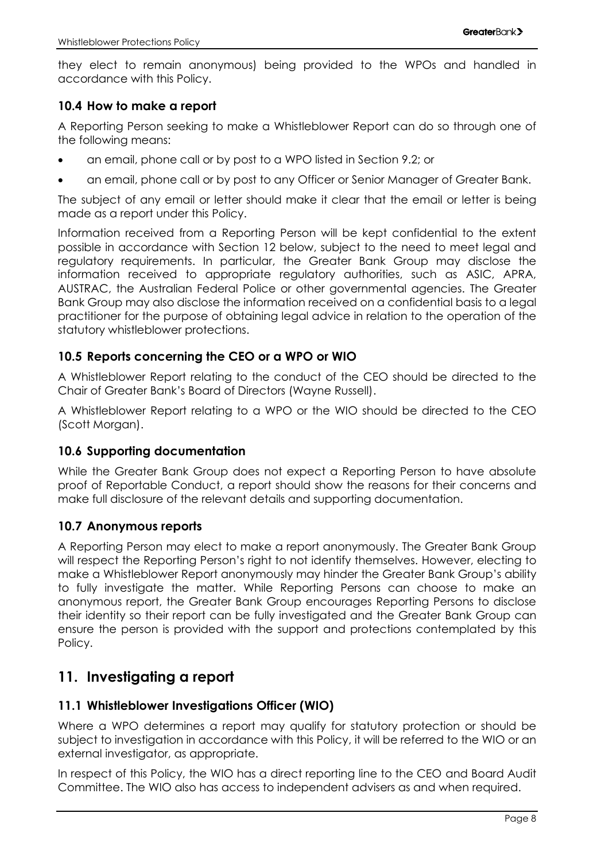they elect to remain anonymous) being provided to the WPOs and handled in accordance with this Policy.

#### <span id="page-9-0"></span>**10.4 How to make a report**

A Reporting Person seeking to make a Whistleblower Report can do so through one of the following means:

- an email, phone call or by post to a WPO listed in Section [9.2;](#page-7-0) or
- an email, phone call or by post to any Officer or Senior Manager of Greater Bank.

The subject of any email or letter should make it clear that the email or letter is being made as a report under this Policy.

Information received from a Reporting Person will be kept confidential to the extent possible in accordance with Section [12](#page-11-0) below, subject to the need to meet legal and regulatory requirements. In particular, the Greater Bank Group may disclose the information received to appropriate regulatory authorities, such as ASIC, APRA, AUSTRAC, the Australian Federal Police or other governmental agencies. The Greater Bank Group may also disclose the information received on a confidential basis to a legal practitioner for the purpose of obtaining legal advice in relation to the operation of the statutory whistleblower protections.

#### <span id="page-9-1"></span>**10.5 Reports concerning the CEO or a WPO or WIO**

A Whistleblower Report relating to the conduct of the CEO should be directed to the Chair of Greater Bank's Board of Directors (Wayne Russell).

A Whistleblower Report relating to a WPO or the WIO should be directed to the CEO (Scott Morgan).

#### <span id="page-9-2"></span>**10.6 Supporting documentation**

While the Greater Bank Group does not expect a Reporting Person to have absolute proof of Reportable Conduct, a report should show the reasons for their concerns and make full disclosure of the relevant details and supporting documentation.

#### <span id="page-9-3"></span>**10.7 Anonymous reports**

A Reporting Person may elect to make a report anonymously. The Greater Bank Group will respect the Reporting Person's right to not identify themselves. However, electing to make a Whistleblower Report anonymously may hinder the Greater Bank Group's ability to fully investigate the matter. While Reporting Persons can choose to make an anonymous report, the Greater Bank Group encourages Reporting Persons to disclose their identity so their report can be fully investigated and the Greater Bank Group can ensure the person is provided with the support and protections contemplated by this Policy.

# <span id="page-9-4"></span>**11. Investigating a report**

#### <span id="page-9-5"></span>**11.1 Whistleblower Investigations Officer (WIO)**

Where a WPO determines a report may qualify for statutory protection or should be subject to investigation in accordance with this Policy, it will be referred to the WIO or an external investigator, as appropriate.

In respect of this Policy, the WIO has a direct reporting line to the CEO and Board Audit Committee. The WIO also has access to independent advisers as and when required.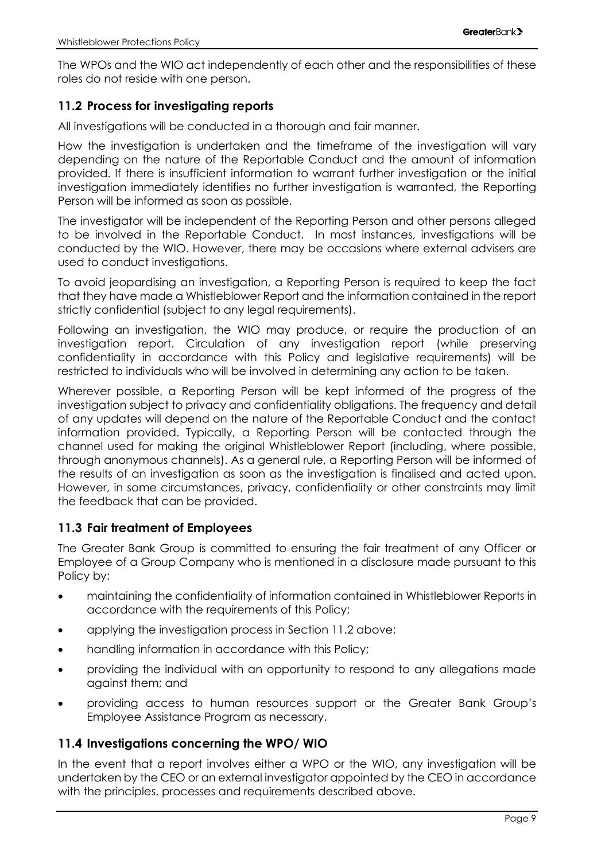The WPOs and the WIO act independently of each other and the responsibilities of these roles do not reside with one person.

#### <span id="page-10-0"></span>**11.2 Process for investigating reports**

All investigations will be conducted in a thorough and fair manner.

How the investigation is undertaken and the timeframe of the investigation will vary depending on the nature of the Reportable Conduct and the amount of information provided. If there is insufficient information to warrant further investigation or the initial investigation immediately identifies no further investigation is warranted, the Reporting Person will be informed as soon as possible.

The investigator will be independent of the Reporting Person and other persons alleged to be involved in the Reportable Conduct. In most instances, investigations will be conducted by the WIO. However, there may be occasions where external advisers are used to conduct investigations.

To avoid jeopardising an investigation, a Reporting Person is required to keep the fact that they have made a Whistleblower Report and the information contained in the report strictly confidential (subject to any legal requirements).

Following an investigation, the WIO may produce, or require the production of an investigation report. Circulation of any investigation report (while preserving confidentiality in accordance with this Policy and legislative requirements) will be restricted to individuals who will be involved in determining any action to be taken.

Wherever possible, a Reporting Person will be kept informed of the progress of the investigation subject to privacy and confidentiality obligations. The frequency and detail of any updates will depend on the nature of the Reportable Conduct and the contact information provided. Typically, a Reporting Person will be contacted through the channel used for making the original Whistleblower Report (including, where possible, through anonymous channels). As a general rule, a Reporting Person will be informed of the results of an investigation as soon as the investigation is finalised and acted upon. However, in some circumstances, privacy, confidentiality or other constraints may limit the feedback that can be provided.

#### <span id="page-10-1"></span>**11.3 Fair treatment of Employees**

The Greater Bank Group is committed to ensuring the fair treatment of any Officer or Employee of a Group Company who is mentioned in a disclosure made pursuant to this Policy by:

- maintaining the confidentiality of information contained in Whistleblower Reports in accordance with the requirements of this Policy;
- applying the investigation process in Section [11.2](#page-10-0) above;
- handling information in accordance with this Policy;
- providing the individual with an opportunity to respond to any allegations made against them; and
- providing access to human resources support or the Greater Bank Group's Employee Assistance Program as necessary.

#### <span id="page-10-2"></span>**11.4 Investigations concerning the WPO/ WIO**

In the event that a report involves either a WPO or the WIO, any investigation will be undertaken by the CEO or an external investigator appointed by the CEO in accordance with the principles, processes and requirements described above.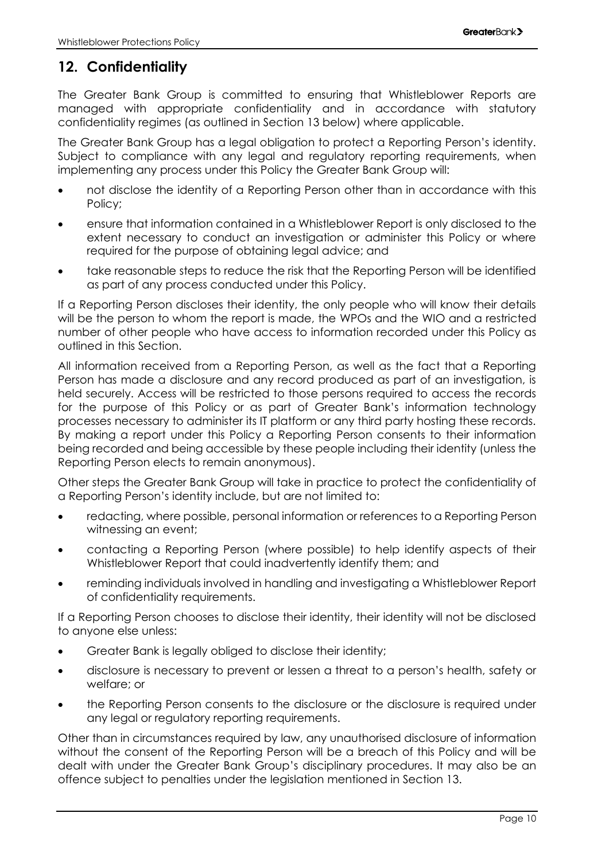# <span id="page-11-0"></span>**12. Confidentiality**

The Greater Bank Group is committed to ensuring that Whistleblower Reports are managed with appropriate confidentiality and in accordance with statutory confidentiality regimes (as outlined in Section [13](#page-12-0) below) where applicable.

The Greater Bank Group has a legal obligation to protect a Reporting Person's identity. Subject to compliance with any legal and regulatory reporting requirements, when implementing any process under this Policy the Greater Bank Group will:

- not disclose the identity of a Reporting Person other than in accordance with this Policy;
- ensure that information contained in a Whistleblower Report is only disclosed to the extent necessary to conduct an investigation or administer this Policy or where required for the purpose of obtaining legal advice; and
- take reasonable steps to reduce the risk that the Reporting Person will be identified as part of any process conducted under this Policy.

If a Reporting Person discloses their identity, the only people who will know their details will be the person to whom the report is made, the WPOs and the WIO and a restricted number of other people who have access to information recorded under this Policy as outlined in this Section.

All information received from a Reporting Person, as well as the fact that a Reporting Person has made a disclosure and any record produced as part of an investigation, is held securely. Access will be restricted to those persons required to access the records for the purpose of this Policy or as part of Greater Bank's information technology processes necessary to administer its IT platform or any third party hosting these records. By making a report under this Policy a Reporting Person consents to their information being recorded and being accessible by these people including their identity (unless the Reporting Person elects to remain anonymous).

Other steps the Greater Bank Group will take in practice to protect the confidentiality of a Reporting Person's identity include, but are not limited to:

- redacting, where possible, personal information or references to a Reporting Person witnessing an event;
- contacting a Reporting Person (where possible) to help identify aspects of their Whistleblower Report that could inadvertently identify them; and
- reminding individuals involved in handling and investigating a Whistleblower Report of confidentiality requirements.

If a Reporting Person chooses to disclose their identity, their identity will not be disclosed to anyone else unless:

- Greater Bank is legally obliged to disclose their identity;
- disclosure is necessary to prevent or lessen a threat to a person's health, safety or welfare; or
- the Reporting Person consents to the disclosure or the disclosure is required under any legal or regulatory reporting requirements.

Other than in circumstances required by law, any unauthorised disclosure of information without the consent of the Reporting Person will be a breach of this Policy and will be dealt with under the Greater Bank Group's disciplinary procedures. It may also be an offence subject to penalties under the legislation mentioned in Section 13.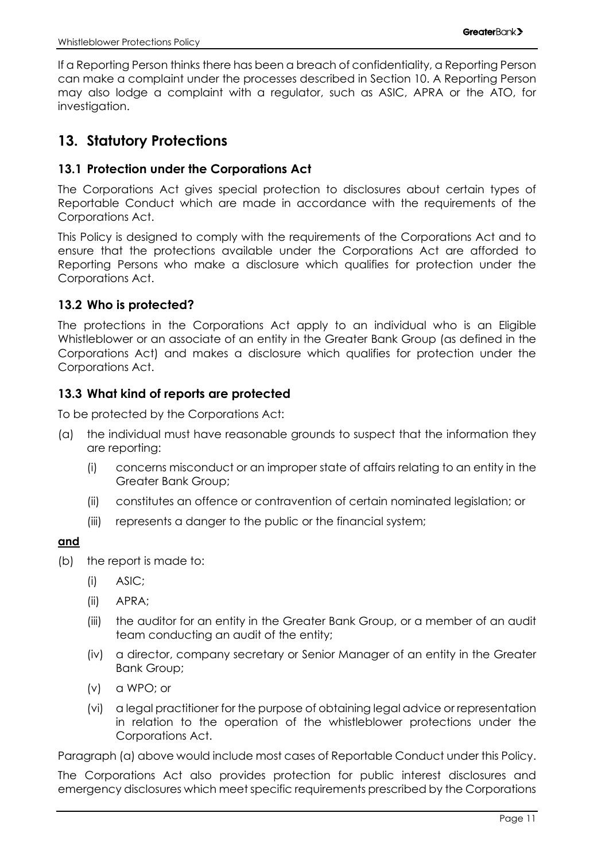If a Reporting Person thinks there has been a breach of confidentiality, a Reporting Person can make a complaint under the processes described in Section [10.](#page-8-0) A Reporting Person may also lodge a complaint with a regulator, such as ASIC, APRA or the ATO, for investigation.

# <span id="page-12-0"></span>**13. Statutory Protections**

#### <span id="page-12-1"></span>**13.1 Protection under the Corporations Act**

The Corporations Act gives special protection to disclosures about certain types of Reportable Conduct which are made in accordance with the requirements of the Corporations Act.

This Policy is designed to comply with the requirements of the Corporations Act and to ensure that the protections available under the Corporations Act are afforded to Reporting Persons who make a disclosure which qualifies for protection under the Corporations Act.

#### <span id="page-12-2"></span>**13.2 Who is protected?**

The protections in the Corporations Act apply to an individual who is an Eligible Whistleblower or an associate of an entity in the Greater Bank Group (as defined in the Corporations Act) and makes a disclosure which qualifies for protection under the Corporations Act.

#### <span id="page-12-3"></span>**13.3 What kind of reports are protected**

To be protected by the Corporations Act:

- (a) the individual must have reasonable grounds to suspect that the information they are reporting:
	- (i) concerns misconduct or an improper state of affairs relating to an entity in the Greater Bank Group;
	- (ii) constitutes an offence or contravention of certain nominated legislation; or
	- (iii) represents a danger to the public or the financial system;

#### **and**

- <span id="page-12-4"></span>(b) the report is made to:
	- (i) ASIC;
	- (ii) APRA;
	- (iii) the auditor for an entity in the Greater Bank Group, or a member of an audit team conducting an audit of the entity;
	- (iv) a director, company secretary or Senior Manager of an entity in the Greater Bank Group;
	- (v) a WPO; or
	- (vi) a legal practitioner for the purpose of obtaining legal advice or representation in relation to the operation of the whistleblower protections under the Corporations Act.

Paragraph (a) above would include most cases of Reportable Conduct under this Policy.

The Corporations Act also provides protection for public interest disclosures and emergency disclosures which meet specific requirements prescribed by the Corporations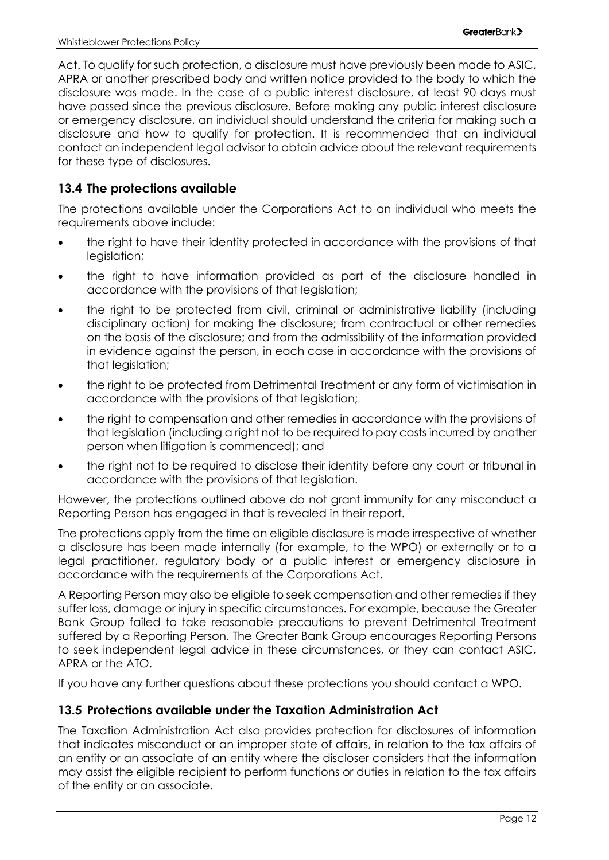Act. To qualify for such protection, a disclosure must have previously been made to ASIC, APRA or another prescribed body and written notice provided to the body to which the disclosure was made. In the case of a public interest disclosure, at least 90 days must have passed since the previous disclosure. Before making any public interest disclosure or emergency disclosure, an individual should understand the criteria for making such a disclosure and how to qualify for protection. It is recommended that an individual contact an independent legal advisor to obtain advice about the relevant requirements for these type of disclosures.

#### <span id="page-13-0"></span>**13.4 The protections available**

The protections available under the Corporations Act to an individual who meets the requirements above include:

- the right to have their identity protected in accordance with the provisions of that legislation;
- the right to have information provided as part of the disclosure handled in accordance with the provisions of that legislation;
- the right to be protected from civil, criminal or administrative liability (including disciplinary action) for making the disclosure; from contractual or other remedies on the basis of the disclosure; and from the admissibility of the information provided in evidence against the person, in each case in accordance with the provisions of that legislation;
- the right to be protected from Detrimental Treatment or any form of victimisation in accordance with the provisions of that legislation;
- the right to compensation and other remedies in accordance with the provisions of that legislation (including a right not to be required to pay costs incurred by another person when litigation is commenced); and
- the right not to be required to disclose their identity before any court or tribunal in accordance with the provisions of that legislation.

However, the protections outlined above do not grant immunity for any misconduct a Reporting Person has engaged in that is revealed in their report.

The protections apply from the time an eligible disclosure is made irrespective of whether a disclosure has been made internally (for example, to the WPO) or externally or to a legal practitioner, regulatory body or a public interest or emergency disclosure in accordance with the requirements of the Corporations Act.

A Reporting Person may also be eligible to seek compensation and other remedies if they suffer loss, damage or injury in specific circumstances. For example, because the Greater Bank Group failed to take reasonable precautions to prevent Detrimental Treatment suffered by a Reporting Person. The Greater Bank Group encourages Reporting Persons to seek independent legal advice in these circumstances, or they can contact ASIC, APRA or the ATO.

If you have any further questions about these protections you should contact a WPO.

#### <span id="page-13-1"></span>**13.5 Protections available under the Taxation Administration Act**

The Taxation Administration Act also provides protection for disclosures of information that indicates misconduct or an improper state of affairs, in relation to the tax affairs of an entity or an associate of an entity where the discloser considers that the information may assist the eligible recipient to perform functions or duties in relation to the tax affairs of the entity or an associate.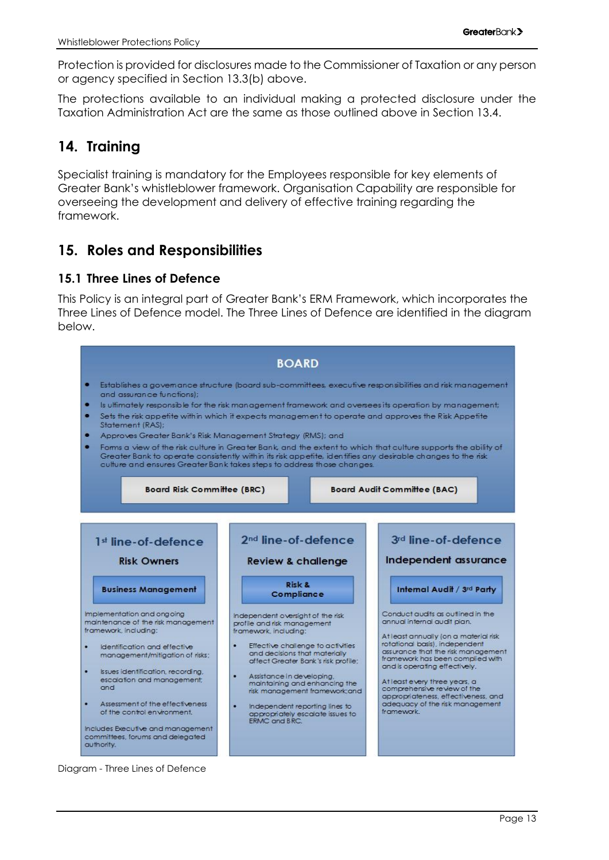Protection is provided for disclosures made to the Commissioner of Taxation or any person or agency specified in Section [13.3](#page-12-3)[\(b\)](#page-12-4) above.

The protections available to an individual making a protected disclosure under the Taxation Administration Act are the same as those outlined above in Section [13.4.](#page-13-0)

# <span id="page-14-0"></span>**14. Training**

Specialist training is mandatory for the Employees responsible for key elements of Greater Bank's whistleblower framework. Organisation Capability are responsible for overseeing the development and delivery of effective training regarding the framework.

# <span id="page-14-1"></span>**15. Roles and Responsibilities**

#### <span id="page-14-2"></span>**15.1 Three Lines of Defence**

This Policy is an integral part of Greater Bank's ERM Framework, which incorporates the Three Lines of Defence model. The Three Lines of Defence are identified in the diagram below.



Diagram - Three Lines of Defence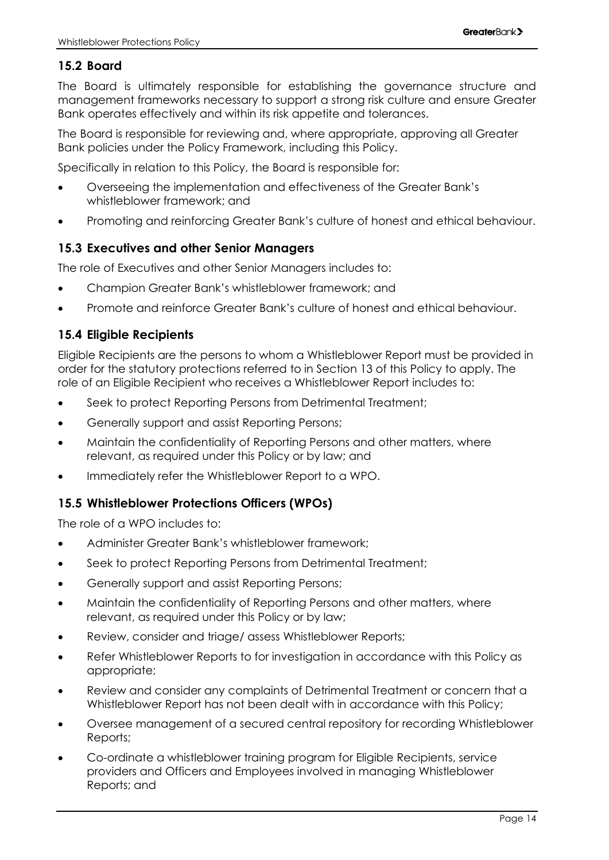#### <span id="page-15-0"></span>**15.2 Board**

The Board is ultimately responsible for establishing the governance structure and management frameworks necessary to support a strong risk culture and ensure Greater Bank operates effectively and within its risk appetite and tolerances.

The Board is responsible for reviewing and, where appropriate, approving all Greater Bank policies under the Policy Framework, including this Policy.

Specifically in relation to this Policy, the Board is responsible for:

- Overseeing the implementation and effectiveness of the Greater Bank's whistleblower framework; and
- Promoting and reinforcing Greater Bank's culture of honest and ethical behaviour.

#### <span id="page-15-1"></span>**15.3 Executives and other Senior Managers**

The role of Executives and other Senior Managers includes to:

- Champion Greater Bank's whistleblower framework; and
- Promote and reinforce Greater Bank's culture of honest and ethical behaviour.

#### <span id="page-15-2"></span>**15.4 Eligible Recipients**

Eligible Recipients are the persons to whom a Whistleblower Report must be provided in order for the statutory protections referred to in Section 13 of this Policy to apply. The role of an Eligible Recipient who receives a Whistleblower Report includes to:

- Seek to protect Reporting Persons from Detrimental Treatment;
- Generally support and assist Reporting Persons;
- Maintain the confidentiality of Reporting Persons and other matters, where relevant, as required under this Policy or by law; and
- Immediately refer the Whistleblower Report to a WPO.

#### <span id="page-15-3"></span>**15.5 Whistleblower Protections Officers (WPOs)**

The role of a WPO includes to:

- Administer Greater Bank's whistleblower framework;
- Seek to protect Reporting Persons from Detrimental Treatment;
- Generally support and assist Reporting Persons;
- Maintain the confidentiality of Reporting Persons and other matters, where relevant, as required under this Policy or by law;
- Review, consider and triage/ assess Whistleblower Reports;
- Refer Whistleblower Reports to for investigation in accordance with this Policy as appropriate;
- Review and consider any complaints of Detrimental Treatment or concern that a Whistleblower Report has not been dealt with in accordance with this Policy;
- Oversee management of a secured central repository for recording Whistleblower Reports;
- Co-ordinate a whistleblower training program for Eligible Recipients, service providers and Officers and Employees involved in managing Whistleblower Reports; and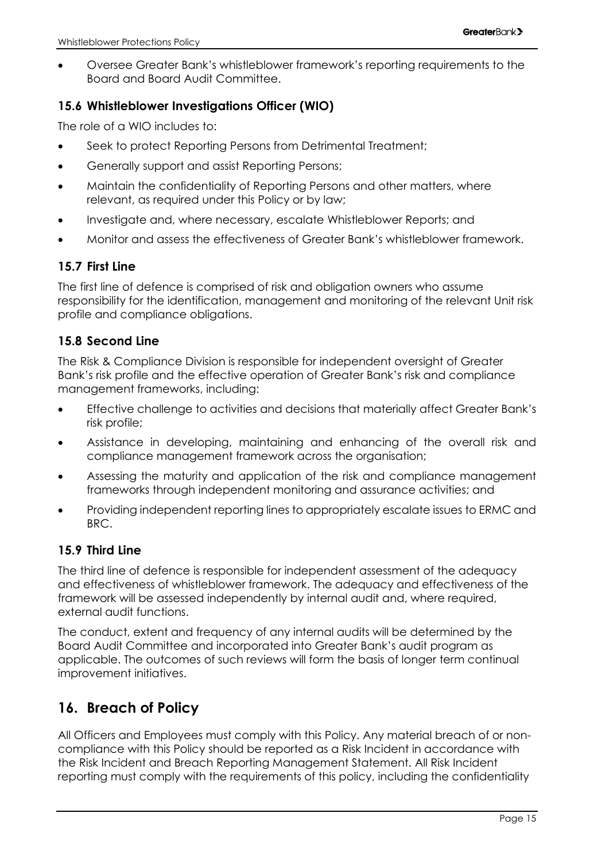• Oversee Greater Bank's whistleblower framework's reporting requirements to the Board and Board Audit Committee.

#### <span id="page-16-0"></span>**15.6 Whistleblower Investigations Officer (WIO)**

The role of a WIO includes to:

- Seek to protect Reporting Persons from Detrimental Treatment;
- Generally support and assist Reporting Persons;
- Maintain the confidentiality of Reporting Persons and other matters, where relevant, as required under this Policy or by law;
- Investigate and, where necessary, escalate Whistleblower Reports; and
- Monitor and assess the effectiveness of Greater Bank's whistleblower framework.

#### <span id="page-16-1"></span>**15.7 First Line**

The first line of defence is comprised of risk and obligation owners who assume responsibility for the identification, management and monitoring of the relevant Unit risk profile and compliance obligations.

#### <span id="page-16-2"></span>**15.8 Second Line**

The Risk & Compliance Division is responsible for independent oversight of Greater Bank's risk profile and the effective operation of Greater Bank's risk and compliance management frameworks, including:

- Effective challenge to activities and decisions that materially affect Greater Bank's risk profile;
- Assistance in developing, maintaining and enhancing of the overall risk and compliance management framework across the organisation;
- Assessing the maturity and application of the risk and compliance management frameworks through independent monitoring and assurance activities; and
- Providing independent reporting lines to appropriately escalate issues to ERMC and BRC.

#### <span id="page-16-3"></span>**15.9 Third Line**

The third line of defence is responsible for independent assessment of the adequacy and effectiveness of whistleblower framework. The adequacy and effectiveness of the framework will be assessed independently by internal audit and, where required, external audit functions.

The conduct, extent and frequency of any internal audits will be determined by the Board Audit Committee and incorporated into Greater Bank's audit program as applicable. The outcomes of such reviews will form the basis of longer term continual improvement initiatives.

# <span id="page-16-4"></span>**16. Breach of Policy**

All Officers and Employees must comply with this Policy. Any material breach of or noncompliance with this Policy should be reported as a Risk Incident in accordance with the Risk Incident and Breach Reporting Management Statement. All Risk Incident reporting must comply with the requirements of this policy, including the confidentiality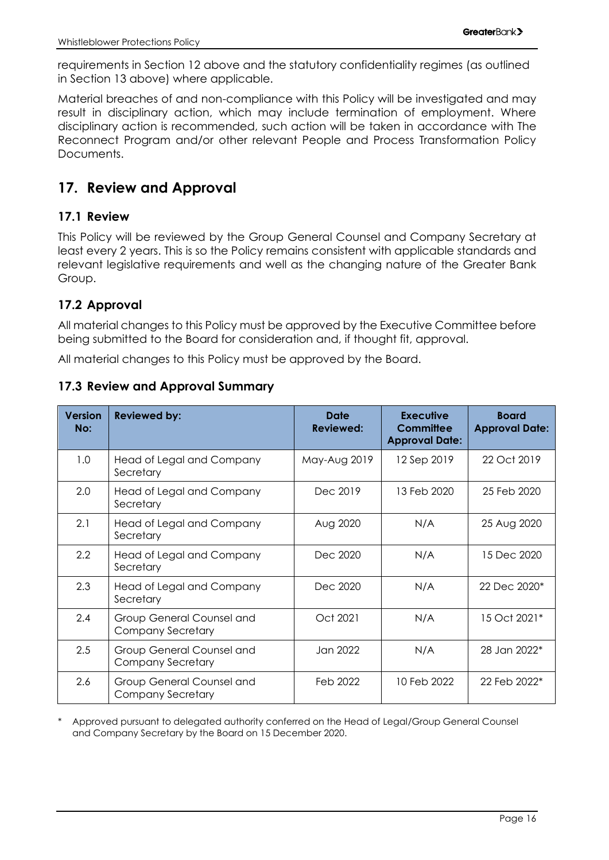requirements in Section 12 above and the statutory confidentiality regimes (as outlined in Section [13](#page-12-0) above) where applicable.

Material breaches of and non-compliance with this Policy will be investigated and may result in disciplinary action, which may include termination of employment. Where disciplinary action is recommended, such action will be taken in accordance with The Reconnect Program and/or other relevant People and Process Transformation Policy Documents.

# <span id="page-17-0"></span>**17. Review and Approval**

#### <span id="page-17-1"></span>**17.1 Review**

This Policy will be reviewed by the Group General Counsel and Company Secretary at least every 2 years. This is so the Policy remains consistent with applicable standards and relevant legislative requirements and well as the changing nature of the Greater Bank Group.

#### <span id="page-17-2"></span>**17.2 Approval**

All material changes to this Policy must be approved by the Executive Committee before being submitted to the Board for consideration and, if thought fit, approval.

All material changes to this Policy must be approved by the Board.

#### <span id="page-17-3"></span>**17.3 Review and Approval Summary**

| <b>Version</b><br>No: | <b>Reviewed by:</b>                                   | Date<br><b>Reviewed:</b> | <b>Executive</b><br><b>Committee</b><br><b>Approval Date:</b> | <b>Board</b><br><b>Approval Date:</b> |
|-----------------------|-------------------------------------------------------|--------------------------|---------------------------------------------------------------|---------------------------------------|
| 1.0                   | Head of Legal and Company<br>Secretary                | May-Aug 2019             | 12 Sep 2019                                                   | 22 Oct 2019                           |
| 2.0                   | Head of Legal and Company<br>Secretary                | Dec 2019                 | 13 Feb 2020                                                   | 25 Feb 2020                           |
| 2.1                   | Head of Legal and Company<br>Secretary                | Aug 2020                 | N/A                                                           | 25 Aug 2020                           |
| $2.2\phantom{0}$      | Head of Legal and Company<br>Secretary                | Dec 2020                 | N/A                                                           | 15 Dec 2020                           |
| 2.3                   | Head of Legal and Company<br>Secretary                | Dec 2020                 | N/A                                                           | 22 Dec 2020*                          |
| 2.4                   | Group General Counsel and<br><b>Company Secretary</b> | Oct 2021                 | N/A                                                           | 15 Oct 2021*                          |
| 2.5                   | Group General Counsel and<br><b>Company Secretary</b> | Jan 2022                 | N/A                                                           | 28 Jan 2022*                          |
| 2.6                   | Group General Counsel and<br><b>Company Secretary</b> | Feb 2022                 | 10 Feb 2022                                                   | 22 Feb 2022*                          |

Approved pursuant to delegated authority conferred on the Head of Legal/Group General Counsel and Company Secretary by the Board on 15 December 2020.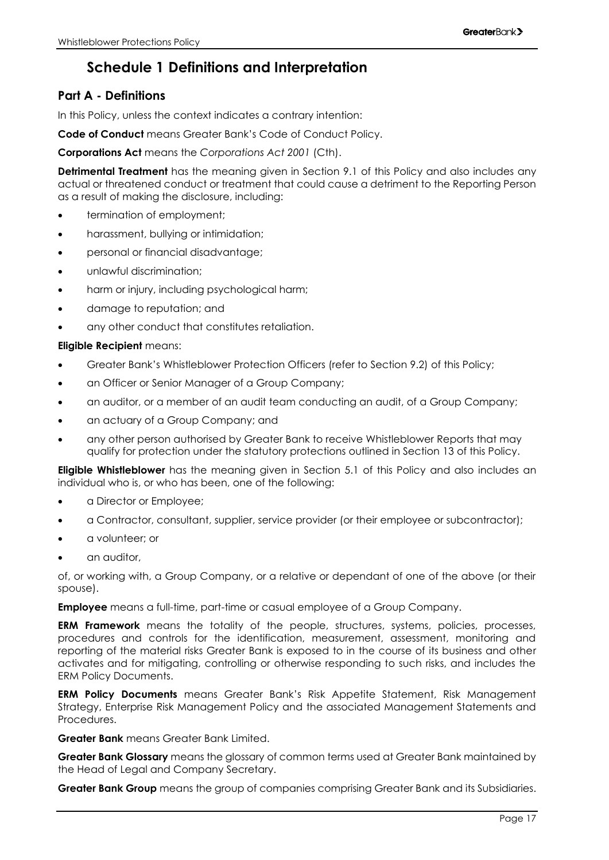# **Schedule 1 Definitions and Interpretation**

#### <span id="page-18-0"></span>**Part A - Definitions**

In this Policy, unless the context indicates a contrary intention:

**Code of Conduct** means Greater Bank's Code of Conduct Policy.

**Corporations Act** means the *Corporations Act 2001* (Cth).

**Detrimental Treatment** has the meaning given in Section 9.1 of this Policy and also includes any actual or threatened conduct or treatment that could cause a detriment to the Reporting Person as a result of making the disclosure, including:

- termination of employment;
- harassment, bullying or intimidation;
- personal or financial disadvantage;
- unlawful discrimination;
- harm or injury, including psychological harm;
- damage to reputation; and
- any other conduct that constitutes retaliation.

#### **Eligible Recipient** means:

- Greater Bank's Whistleblower Protection Officers (refer to Section 9.2) of this Policy;
- an Officer or Senior Manager of a Group Company;
- an auditor, or a member of an audit team conducting an audit, of a Group Company;
- an actuary of a Group Company; and
- any other person authorised by Greater Bank to receive Whistleblower Reports that may qualify for protection under the statutory protections outlined in Section [13](#page-12-0) of this Policy.

**Eligible Whistleblower** has the meaning given in Section 5.1 of this Policy and also includes an individual who is, or who has been, one of the following:

- a Director or Employee;
- a Contractor, consultant, supplier, service provider (or their employee or subcontractor);
- a volunteer; or
- an auditor,

of, or working with, a Group Company, or a relative or dependant of one of the above (or their spouse).

**Employee** means a full-time, part-time or casual employee of a Group Company.

**ERM Framework** means the totality of the people, structures, systems, policies, processes, procedures and controls for the identification, measurement, assessment, monitoring and reporting of the material risks Greater Bank is exposed to in the course of its business and other activates and for mitigating, controlling or otherwise responding to such risks, and includes the ERM Policy Documents.

**ERM Policy Documents** means Greater Bank's Risk Appetite Statement, Risk Management Strategy, Enterprise Risk Management Policy and the associated Management Statements and Procedures.

**Greater Bank** means Greater Bank Limited.

**Greater Bank Glossary** means the glossary of common terms used at Greater Bank maintained by the Head of Legal and Company Secretary.

**Greater Bank Group** means the group of companies comprising Greater Bank and its Subsidiaries.